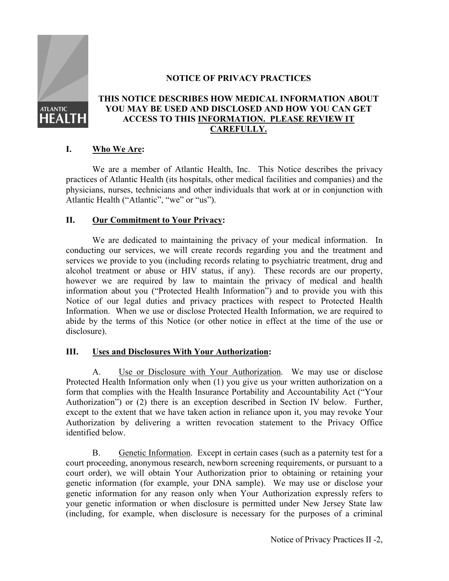## **NOTICE OF PRIVACY PRACTICES**

# **ATLANTIC HEALTH**

#### **THIS NOTICE DESCRIBES HOW MEDICAL INFORMATION ABOUT YOU MAY BE USED AND DISCLOSED AND HOW YOU CAN GET ACCESS TO THIS INFORMATION. PLEASE REVIEW IT CAREFULLY.**

# **I. Who We Are:**

 We are a member of Atlantic Health, Inc. This Notice describes the privacy practices of Atlantic Health (its hospitals, other medical facilities and companies) and the physicians, nurses, technicians and other individuals that work at or in conjunction with Atlantic Health ("Atlantic", "we" or "us").

## **II. Our Commitment to Your Privacy:**

 We are dedicated to maintaining the privacy of your medical information. In conducting our services, we will create records regarding you and the treatment and services we provide to you (including records relating to psychiatric treatment, drug and alcohol treatment or abuse or HIV status, if any). These records are our property, however we are required by law to maintain the privacy of medical and health information about you ("Protected Health Information") and to provide you with this Notice of our legal duties and privacy practices with respect to Protected Health Information. When we use or disclose Protected Health Information, we are required to abide by the terms of this Notice (or other notice in effect at the time of the use or disclosure).

#### **III. Uses and Disclosures With Your Authorization:**

A. Use or Disclosure with Your Authorization. We may use or disclose Protected Health Information only when (1) you give us your written authorization on a form that complies with the Health Insurance Portability and Accountability Act ("Your Authorization") or (2) there is an exception described in Section IV below. Further, except to the extent that we have taken action in reliance upon it, you may revoke Your Authorization by delivering a written revocation statement to the Privacy Office identified below.

B. Genetic Information. Except in certain cases (such as a paternity test for a court proceeding, anonymous research, newborn screening requirements, or pursuant to a court order), we will obtain Your Authorization prior to obtaining or retaining your genetic information (for example, your DNA sample). We may use or disclose your genetic information for any reason only when Your Authorization expressly refers to your genetic information or when disclosure is permitted under New Jersey State law (including, for example, when disclosure is necessary for the purposes of a criminal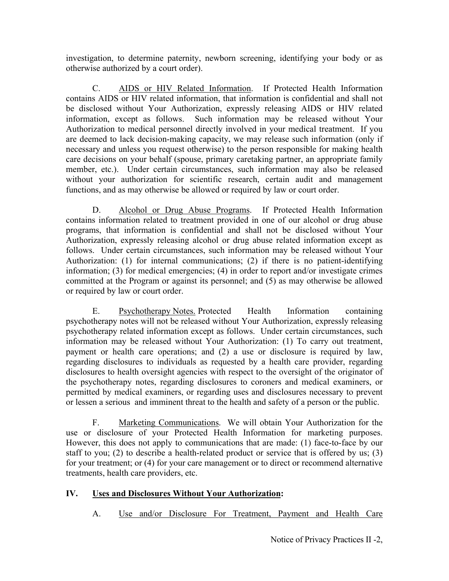investigation, to determine paternity, newborn screening, identifying your body or as otherwise authorized by a court order).

 C. AIDS or HIV Related Information. If Protected Health Information contains AIDS or HIV related information, that information is confidential and shall not be disclosed without Your Authorization, expressly releasing AIDS or HIV related information, except as follows. Such information may be released without Your Authorization to medical personnel directly involved in your medical treatment. If you are deemed to lack decision-making capacity, we may release such information (only if necessary and unless you request otherwise) to the person responsible for making health care decisions on your behalf (spouse, primary caretaking partner, an appropriate family member, etc.). Under certain circumstances, such information may also be released without your authorization for scientific research, certain audit and management functions, and as may otherwise be allowed or required by law or court order.

 D. Alcohol or Drug Abuse Programs. If Protected Health Information contains information related to treatment provided in one of our alcohol or drug abuse programs, that information is confidential and shall not be disclosed without Your Authorization, expressly releasing alcohol or drug abuse related information except as follows. Under certain circumstances, such information may be released without Your Authorization: (1) for internal communications; (2) if there is no patient-identifying information; (3) for medical emergencies; (4) in order to report and/or investigate crimes committed at the Program or against its personnel; and (5) as may otherwise be allowed or required by law or court order.

 E. Psychotherapy Notes. Protected Health Information containing psychotherapy notes will not be released without Your Authorization, expressly releasing psychotherapy related information except as follows. Under certain circumstances, such information may be released without Your Authorization: (1) To carry out treatment, payment or health care operations; and (2) a use or disclosure is required by law, regarding disclosures to individuals as requested by a health care provider, regarding disclosures to health oversight agencies with respect to the oversight of the originator of the psychotherapy notes, regarding disclosures to coroners and medical examiners, or permitted by medical examiners, or regarding uses and disclosures necessary to prevent or lessen a serious and imminent threat to the health and safety of a person or the public.

 F. Marketing Communications. We will obtain Your Authorization for the use or disclosure of your Protected Health Information for marketing purposes. However, this does not apply to communications that are made: (1) face-to-face by our staff to you; (2) to describe a health-related product or service that is offered by us; (3) for your treatment; or (4) for your care management or to direct or recommend alternative treatments, health care providers, etc.

# **IV. Uses and Disclosures Without Your Authorization:**

A. Use and/or Disclosure For Treatment, Payment and Health Care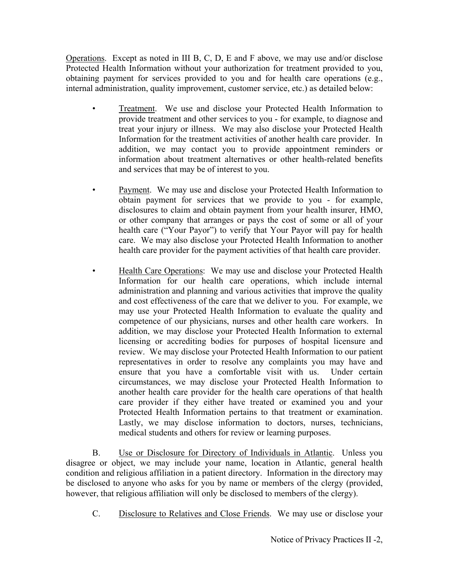Operations. Except as noted in III B, C, D, E and F above, we may use and/or disclose Protected Health Information without your authorization for treatment provided to you, obtaining payment for services provided to you and for health care operations (e.g., internal administration, quality improvement, customer service, etc.) as detailed below:

- Treatment. We use and disclose your Protected Health Information to provide treatment and other services to you - for example, to diagnose and treat your injury or illness. We may also disclose your Protected Health Information for the treatment activities of another health care provider. In addition, we may contact you to provide appointment reminders or information about treatment alternatives or other health-related benefits and services that may be of interest to you.
- Payment. We may use and disclose your Protected Health Information to obtain payment for services that we provide to you - for example, disclosures to claim and obtain payment from your health insurer, HMO, or other company that arranges or pays the cost of some or all of your health care ("Your Payor") to verify that Your Payor will pay for health care. We may also disclose your Protected Health Information to another health care provider for the payment activities of that health care provider.
- Health Care Operations: We may use and disclose your Protected Health Information for our health care operations, which include internal administration and planning and various activities that improve the quality and cost effectiveness of the care that we deliver to you. For example, we may use your Protected Health Information to evaluate the quality and competence of our physicians, nurses and other health care workers. In addition, we may disclose your Protected Health Information to external licensing or accrediting bodies for purposes of hospital licensure and review. We may disclose your Protected Health Information to our patient representatives in order to resolve any complaints you may have and ensure that you have a comfortable visit with us. Under certain circumstances, we may disclose your Protected Health Information to another health care provider for the health care operations of that health care provider if they either have treated or examined you and your Protected Health Information pertains to that treatment or examination. Lastly, we may disclose information to doctors, nurses, technicians, medical students and others for review or learning purposes.

 B. Use or Disclosure for Directory of Individuals in Atlantic. Unless you disagree or object, we may include your name, location in Atlantic, general health condition and religious affiliation in a patient directory. Information in the directory may be disclosed to anyone who asks for you by name or members of the clergy (provided, however, that religious affiliation will only be disclosed to members of the clergy).

C. Disclosure to Relatives and Close Friends. We may use or disclose your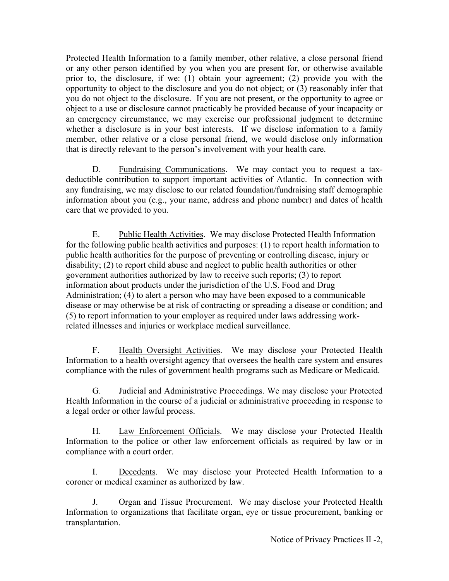Protected Health Information to a family member, other relative, a close personal friend or any other person identified by you when you are present for, or otherwise available prior to, the disclosure, if we: (1) obtain your agreement; (2) provide you with the opportunity to object to the disclosure and you do not object; or (3) reasonably infer that you do not object to the disclosure. If you are not present, or the opportunity to agree or object to a use or disclosure cannot practicably be provided because of your incapacity or an emergency circumstance, we may exercise our professional judgment to determine whether a disclosure is in your best interests. If we disclose information to a family member, other relative or a close personal friend, we would disclose only information that is directly relevant to the person's involvement with your health care.

 D. Fundraising Communications. We may contact you to request a taxdeductible contribution to support important activities of Atlantic. In connection with any fundraising, we may disclose to our related foundation/fundraising staff demographic information about you (e.g., your name, address and phone number) and dates of health care that we provided to you.

 E. Public Health Activities. We may disclose Protected Health Information for the following public health activities and purposes: (1) to report health information to public health authorities for the purpose of preventing or controlling disease, injury or disability; (2) to report child abuse and neglect to public health authorities or other government authorities authorized by law to receive such reports; (3) to report information about products under the jurisdiction of the U.S. Food and Drug Administration; (4) to alert a person who may have been exposed to a communicable disease or may otherwise be at risk of contracting or spreading a disease or condition; and (5) to report information to your employer as required under laws addressing workrelated illnesses and injuries or workplace medical surveillance.

 F. Health Oversight Activities. We may disclose your Protected Health Information to a health oversight agency that oversees the health care system and ensures compliance with the rules of government health programs such as Medicare or Medicaid.

 G. Judicial and Administrative Proceedings. We may disclose your Protected Health Information in the course of a judicial or administrative proceeding in response to a legal order or other lawful process.

 H. Law Enforcement Officials. We may disclose your Protected Health Information to the police or other law enforcement officials as required by law or in compliance with a court order.

 I. Decedents. We may disclose your Protected Health Information to a coroner or medical examiner as authorized by law.

 J. Organ and Tissue Procurement. We may disclose your Protected Health Information to organizations that facilitate organ, eye or tissue procurement, banking or transplantation.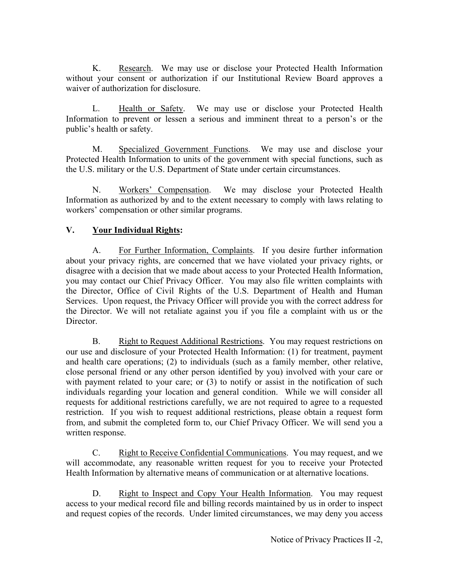K. Research. We may use or disclose your Protected Health Information without your consent or authorization if our Institutional Review Board approves a waiver of authorization for disclosure.

L. Health or Safety. We may use or disclose your Protected Health Information to prevent or lessen a serious and imminent threat to a person's or the public's health or safety.

 M. Specialized Government Functions. We may use and disclose your Protected Health Information to units of the government with special functions, such as the U.S. military or the U.S. Department of State under certain circumstances.

N. Workers' Compensation. We may disclose your Protected Health Information as authorized by and to the extent necessary to comply with laws relating to workers' compensation or other similar programs.

## **V. Your Individual Rights:**

 A. For Further Information, Complaints. If you desire further information about your privacy rights, are concerned that we have violated your privacy rights, or disagree with a decision that we made about access to your Protected Health Information, you may contact our Chief Privacy Officer. You may also file written complaints with the Director, Office of Civil Rights of the U.S. Department of Health and Human Services. Upon request, the Privacy Officer will provide you with the correct address for the Director. We will not retaliate against you if you file a complaint with us or the **Director** 

B. Right to Request Additional Restrictions. You may request restrictions on our use and disclosure of your Protected Health Information: (1) for treatment, payment and health care operations; (2) to individuals (such as a family member, other relative, close personal friend or any other person identified by you) involved with your care or with payment related to your care; or (3) to notify or assist in the notification of such individuals regarding your location and general condition. While we will consider all requests for additional restrictions carefully, we are not required to agree to a requested restriction. If you wish to request additional restrictions, please obtain a request form from, and submit the completed form to, our Chief Privacy Officer. We will send you a written response.

 C. Right to Receive Confidential Communications. You may request, and we will accommodate, any reasonable written request for you to receive your Protected Health Information by alternative means of communication or at alternative locations.

 D. Right to Inspect and Copy Your Health Information. You may request access to your medical record file and billing records maintained by us in order to inspect and request copies of the records. Under limited circumstances, we may deny you access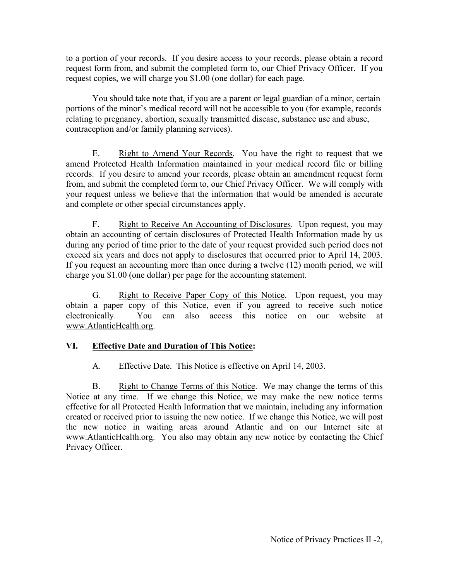to a portion of your records. If you desire access to your records, please obtain a record request form from, and submit the completed form to, our Chief Privacy Officer. If you request copies, we will charge you \$1.00 (one dollar) for each page.

 You should take note that, if you are a parent or legal guardian of a minor, certain portions of the minor's medical record will not be accessible to you (for example, records relating to pregnancy, abortion, sexually transmitted disease, substance use and abuse, contraception and/or family planning services).

 E. Right to Amend Your Records. You have the right to request that we amend Protected Health Information maintained in your medical record file or billing records. If you desire to amend your records, please obtain an amendment request form from, and submit the completed form to, our Chief Privacy Officer. We will comply with your request unless we believe that the information that would be amended is accurate and complete or other special circumstances apply.

F. Right to Receive An Accounting of Disclosures. Upon request, you may obtain an accounting of certain disclosures of Protected Health Information made by us during any period of time prior to the date of your request provided such period does not exceed six years and does not apply to disclosures that occurred prior to April 14, 2003. If you request an accounting more than once during a twelve (12) month period, we will charge you \$1.00 (one dollar) per page for the accounting statement.

 G. Right to Receive Paper Copy of this Notice. Upon request, you may obtain a paper copy of this Notice, even if you agreed to receive such notice electronically. You can also access this notice on our website at www.AtlanticHealth.org.

#### **VI. Effective Date and Duration of This Notice:**

A. Effective Date. This Notice is effective on April 14, 2003.

 B. Right to Change Terms of this Notice. We may change the terms of this Notice at any time. If we change this Notice, we may make the new notice terms effective for all Protected Health Information that we maintain, including any information created or received prior to issuing the new notice. If we change this Notice, we will post the new notice in waiting areas around Atlantic and on our Internet site at www.AtlanticHealth.org. You also may obtain any new notice by contacting the Chief Privacy Officer.